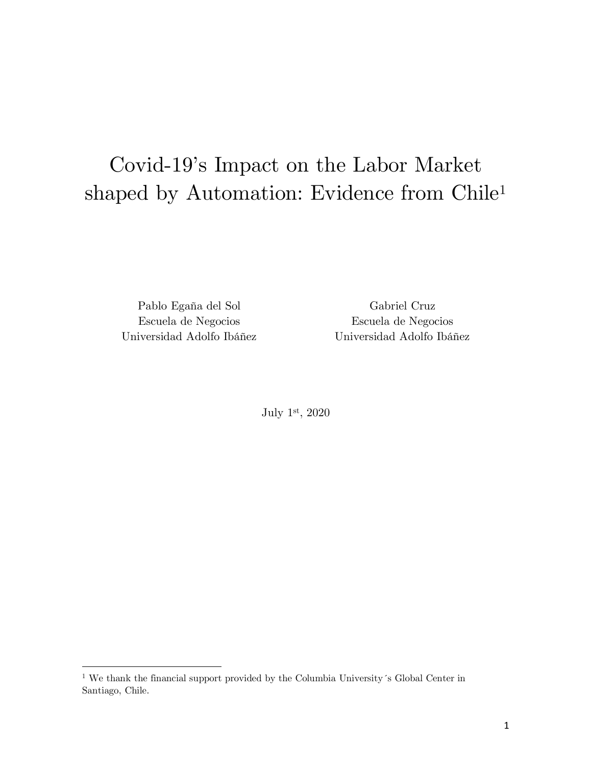# Covid-19's Impact on the Labor Market shaped by Automation: Evidence from Chile1

Pablo Egaña del Sol Gabriel Cruz Escuela de Negocios Universidad Adolfo Ibáñez

<u>.</u>

Escuela de Negocios Universidad Adolfo Ibáñez

July 1st, 2020

<sup>1</sup> We thank the financial support provided by the Columbia University´s Global Center in Santiago, Chile.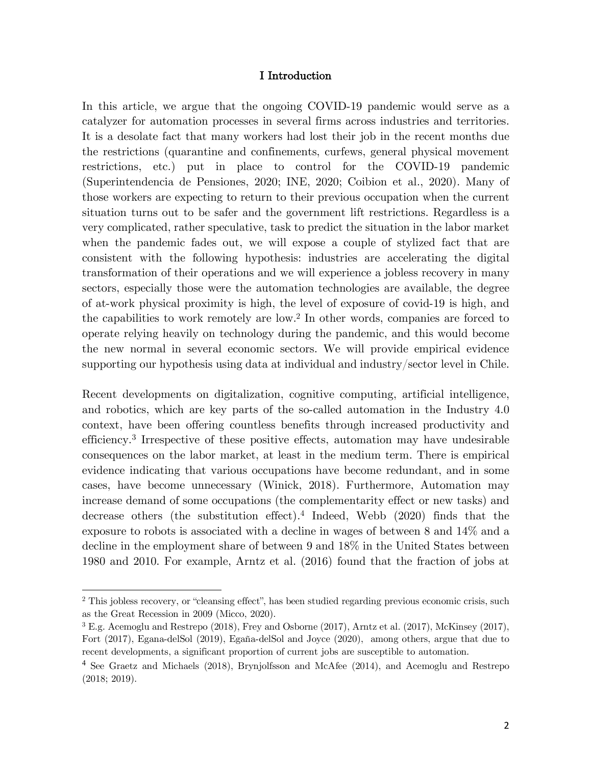#### I Introduction

In this article, we argue that the ongoing COVID-19 pandemic would serve as a catalyzer for automation processes in several firms across industries and territories. It is a desolate fact that many workers had lost their job in the recent months due the restrictions (quarantine and confinements, curfews, general physical movement restrictions, etc.) put in place to control for the COVID-19 pandemic (Superintendencia de Pensiones, 2020; INE, 2020; Coibion et al., 2020). Many of those workers are expecting to return to their previous occupation when the current situation turns out to be safer and the government lift restrictions. Regardless is a very complicated, rather speculative, task to predict the situation in the labor market when the pandemic fades out, we will expose a couple of stylized fact that are consistent with the following hypothesis: industries are accelerating the digital transformation of their operations and we will experience a jobless recovery in many sectors, especially those were the automation technologies are available, the degree of at-work physical proximity is high, the level of exposure of covid-19 is high, and the capabilities to work remotely are low.2 In other words, companies are forced to operate relying heavily on technology during the pandemic, and this would become the new normal in several economic sectors. We will provide empirical evidence supporting our hypothesis using data at individual and industry/sector level in Chile.

Recent developments on digitalization, cognitive computing, artificial intelligence, and robotics, which are key parts of the so-called automation in the Industry 4.0 context, have been offering countless benefits through increased productivity and efficiency.3 Irrespective of these positive effects, automation may have undesirable consequences on the labor market, at least in the medium term. There is empirical evidence indicating that various occupations have become redundant, and in some cases, have become unnecessary (Winick, 2018). Furthermore, Automation may increase demand of some occupations (the complementarity effect or new tasks) and decrease others (the substitution effect).4 Indeed, Webb (2020) finds that the exposure to robots is associated with a decline in wages of between 8 and 14% and a decline in the employment share of between 9 and 18% in the United States between 1980 and 2010. For example, Arntz et al. (2016) found that the fraction of jobs at

<u>.</u>

<sup>&</sup>lt;sup>2</sup> This jobless recovery, or "cleansing effect", has been studied regarding previous economic crisis, such as the Great Recession in 2009 (Micco, 2020).

<sup>3</sup> E.g. Acemoglu and Restrepo (2018), Frey and Osborne (2017), Arntz et al. (2017), McKinsey (2017), Fort (2017), Egana-delSol (2019), Egaña-delSol and Joyce (2020), among others, argue that due to recent developments, a significant proportion of current jobs are susceptible to automation.

<sup>4</sup> See Graetz and Michaels (2018), Brynjolfsson and McAfee (2014), and Acemoglu and Restrepo (2018; 2019).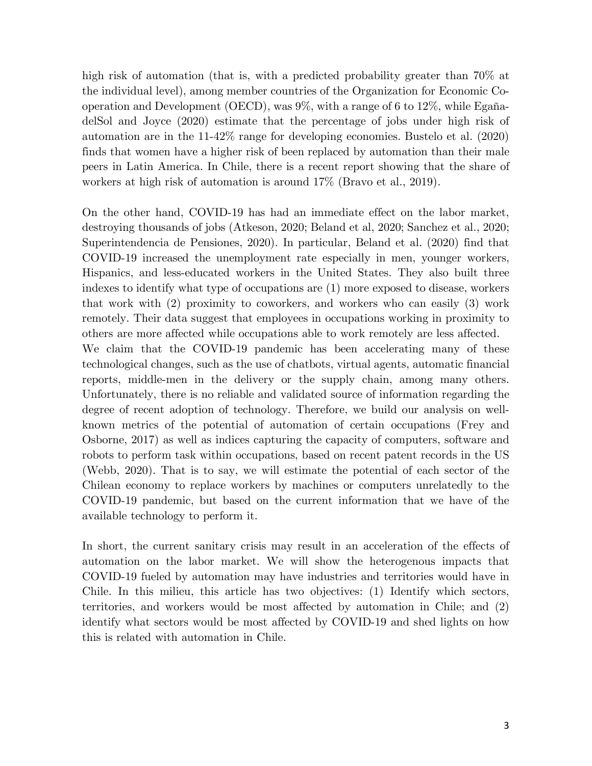high risk of automation (that is, with a predicted probability greater than  $70\%$  at the individual level), among member countries of the Organization for Economic Cooperation and Development (OECD), was 9%, with a range of 6 to 12%, while EgañadelSol and Joyce (2020) estimate that the percentage of jobs under high risk of automation are in the 11-42% range for developing economies. Bustelo et al. (2020) finds that women have a higher risk of been replaced by automation than their male peers in Latin America. In Chile, there is a recent report showing that the share of workers at high risk of automation is around 17% (Bravo et al., 2019).

On the other hand, COVID-19 has had an immediate effect on the labor market, destroying thousands of jobs (Atkeson, 2020; Beland et al, 2020; Sanchez et al., 2020; Superintendencia de Pensiones, 2020). In particular, Beland et al. (2020) find that COVID-19 increased the unemployment rate especially in men, younger workers, Hispanics, and less-educated workers in the United States. They also built three indexes to identify what type of occupations are (1) more exposed to disease, workers that work with (2) proximity to coworkers, and workers who can easily (3) work remotely. Their data suggest that employees in occupations working in proximity to others are more affected while occupations able to work remotely are less affected. We claim that the COVID-19 pandemic has been accelerating many of these technological changes, such as the use of chatbots, virtual agents, automatic financial reports, middle-men in the delivery or the supply chain, among many others. Unfortunately, there is no reliable and validated source of information regarding the degree of recent adoption of technology. Therefore, we build our analysis on wellknown metrics of the potential of automation of certain occupations (Frey and Osborne, 2017) as well as indices capturing the capacity of computers, software and robots to perform task within occupations, based on recent patent records in the US (Webb, 2020). That is to say, we will estimate the potential of each sector of the Chilean economy to replace workers by machines or computers unrelatedly to the COVID-19 pandemic, but based on the current information that we have of the available technology to perform it.

In short, the current sanitary crisis may result in an acceleration of the effects of automation on the labor market. We will show the heterogenous impacts that COVID-19 fueled by automation may have industries and territories would have in Chile. In this milieu, this article has two objectives: (1) Identify which sectors, territories, and workers would be most affected by automation in Chile; and (2) identify what sectors would be most affected by COVID-19 and shed lights on how this is related with automation in Chile.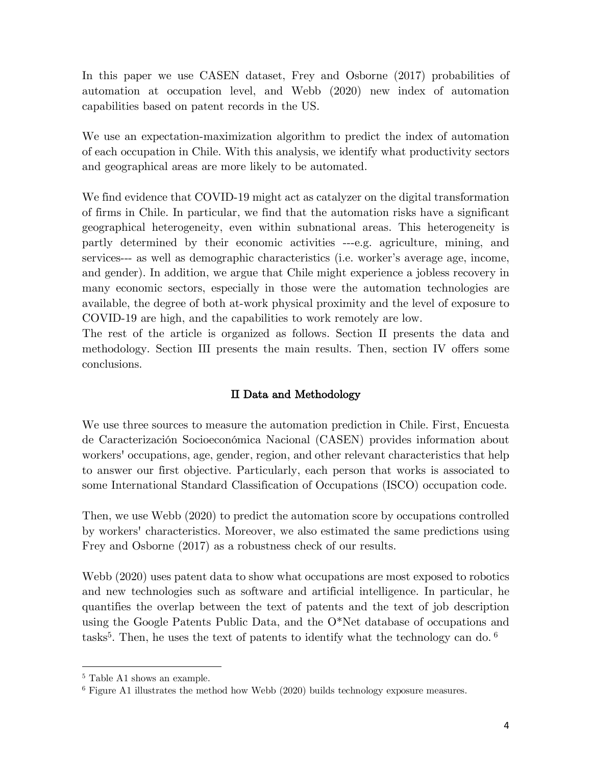In this paper we use CASEN dataset, Frey and Osborne (2017) probabilities of automation at occupation level, and Webb (2020) new index of automation capabilities based on patent records in the US.

We use an expectation-maximization algorithm to predict the index of automation of each occupation in Chile. With this analysis, we identify what productivity sectors and geographical areas are more likely to be automated.

We find evidence that COVID-19 might act as catalyzer on the digital transformation of firms in Chile. In particular, we find that the automation risks have a significant geographical heterogeneity, even within subnational areas. This heterogeneity is partly determined by their economic activities ---e.g. agriculture, mining, and services--- as well as demographic characteristics (i.e. worker's average age, income, and gender). In addition, we argue that Chile might experience a jobless recovery in many economic sectors, especially in those were the automation technologies are available, the degree of both at-work physical proximity and the level of exposure to COVID-19 are high, and the capabilities to work remotely are low.

The rest of the article is organized as follows. Section II presents the data and methodology. Section III presents the main results. Then, section IV offers some conclusions.

## II Data and Methodology

We use three sources to measure the automation prediction in Chile. First, Encuesta de Caracterización Socioeconómica Nacional (CASEN) provides information about workers' occupations, age, gender, region, and other relevant characteristics that help to answer our first objective. Particularly, each person that works is associated to some International Standard Classification of Occupations (ISCO) occupation code.

Then, we use Webb (2020) to predict the automation score by occupations controlled by workers' characteristics. Moreover, we also estimated the same predictions using Frey and Osborne (2017) as a robustness check of our results.

Webb (2020) uses patent data to show what occupations are most exposed to robotics and new technologies such as software and artificial intelligence. In particular, he quantifies the overlap between the text of patents and the text of job description using the Google Patents Public Data, and the O\*Net database of occupations and tasks<sup>5</sup>. Then, he uses the text of patents to identify what the technology can do.  $6$ 

<u>.</u>

<sup>5</sup> Table A1 shows an example.

<sup>6</sup> Figure A1 illustrates the method how Webb (2020) builds technology exposure measures.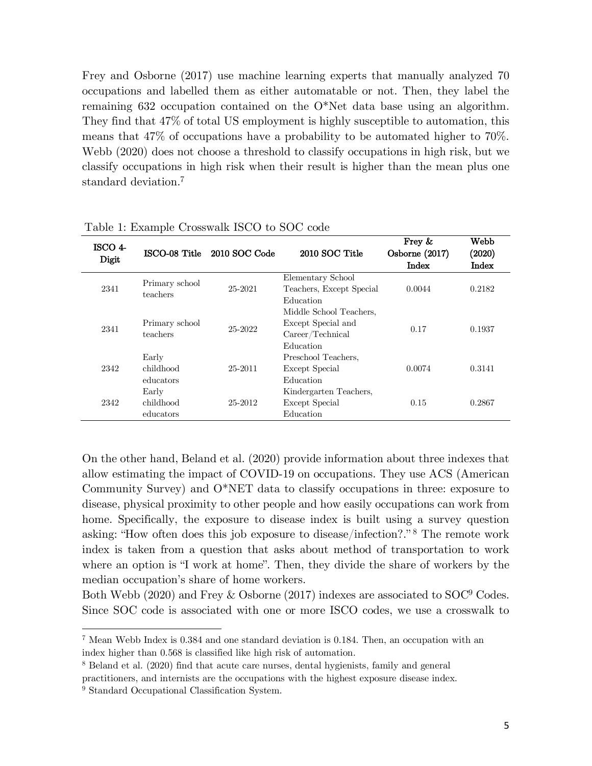Frey and Osborne (2017) use machine learning experts that manually analyzed 70 occupations and labelled them as either automatable or not. Then, they label the remaining 632 occupation contained on the O\*Net data base using an algorithm. They find that 47% of total US employment is highly susceptible to automation, this means that 47% of occupations have a probability to be automated higher to 70%. Webb (2020) does not choose a threshold to classify occupations in high risk, but we classify occupations in high risk when their result is higher than the mean plus one standard deviation.7

| ISCO 4-<br>Digit |                                 | ISCO-08 Title 2010 SOC Code | 2010 SOC Title                                                                                 | Frey $\&$<br>Osborne (2017)<br>Index | Webb<br>(2020)<br>Index |
|------------------|---------------------------------|-----------------------------|------------------------------------------------------------------------------------------------|--------------------------------------|-------------------------|
| 2341             | Primary school<br>teachers      | 25-2021                     | Elementary School<br>Teachers, Except Special<br>Education                                     | 0.0044                               | 0.2182                  |
| 2341             | Primary school<br>teachers      | 25-2022                     | Middle School Teachers,<br>Except Special and<br>$\text{Career}/\text{Technical}$<br>Education | 0.17                                 | 0.1937                  |
| 2342             | Early<br>childhood<br>educators | 25-2011                     | Preschool Teachers,<br>Except Special<br>Education                                             | 0.0074                               | 0.3141                  |
| 2342             | Early<br>childhood<br>educators | 25-2012                     | Kindergarten Teachers,<br>Except Special<br>Education                                          | 0.15                                 | 0.2867                  |

Table 1: Example Crosswalk ISCO to SOC code

On the other hand, Beland et al. (2020) provide information about three indexes that allow estimating the impact of COVID-19 on occupations. They use ACS (American Community Survey) and O\*NET data to classify occupations in three: exposure to disease, physical proximity to other people and how easily occupations can work from home. Specifically, the exposure to disease index is built using a survey question asking: "How often does this job exposure to disease/infection?." <sup>8</sup> The remote work index is taken from a question that asks about method of transportation to work where an option is "I work at home". Then, they divide the share of workers by the median occupation's share of home workers.

Both Webb (2020) and Frey & Osborne (2017) indexes are associated to SOC9 Codes. Since SOC code is associated with one or more ISCO codes, we use a crosswalk to

1

<sup>7</sup> Mean Webb Index is 0.384 and one standard deviation is 0.184. Then, an occupation with an index higher than 0.568 is classified like high risk of automation.

<sup>8</sup> Beland et al. (2020) find that acute care nurses, dental hygienists, family and general

practitioners, and internists are the occupations with the highest exposure disease index.

<sup>&</sup>lt;sup>9</sup> Standard Occupational Classification System.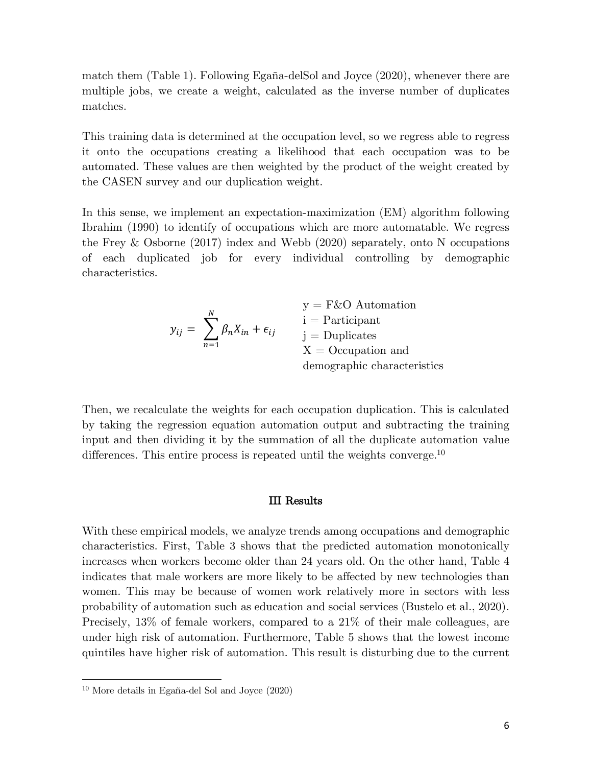match them (Table 1). Following Egaña-delSol and Joyce (2020), whenever there are multiple jobs, we create a weight, calculated as the inverse number of duplicates matches.

This training data is determined at the occupation level, so we regress able to regress it onto the occupations creating a likelihood that each occupation was to be automated. These values are then weighted by the product of the weight created by the CASEN survey and our duplication weight.

In this sense, we implement an expectation-maximization (EM) algorithm following Ibrahim (1990) to identify of occupations which are more automatable. We regress the Frey & Osborne (2017) index and Webb (2020) separately, onto N occupations of each duplicated job for every individual controlling by demographic characteristics.

|                                                | $y = F\&O$ Automation       |
|------------------------------------------------|-----------------------------|
|                                                | $i =$ Participant           |
| $y_{ij} = \sum \beta_n X_{in} + \epsilon_{ij}$ | $i =$ Duplicates            |
| $n=1$                                          | $X = Occupation$ and        |
|                                                | demographic characteristics |

Then, we recalculate the weights for each occupation duplication. This is calculated by taking the regression equation automation output and subtracting the training input and then dividing it by the summation of all the duplicate automation value differences. This entire process is repeated until the weights converge.<sup>10</sup>

#### III Results

With these empirical models, we analyze trends among occupations and demographic characteristics. First, Table 3 shows that the predicted automation monotonically increases when workers become older than 24 years old. On the other hand, Table 4 indicates that male workers are more likely to be affected by new technologies than women. This may be because of women work relatively more in sectors with less probability of automation such as education and social services (Bustelo et al., 2020). Precisely, 13% of female workers, compared to a 21% of their male colleagues, are under high risk of automation. Furthermore, Table 5 shows that the lowest income quintiles have higher risk of automation. This result is disturbing due to the current

<u>.</u>

<sup>10</sup> More details in Egaña-del Sol and Joyce (2020)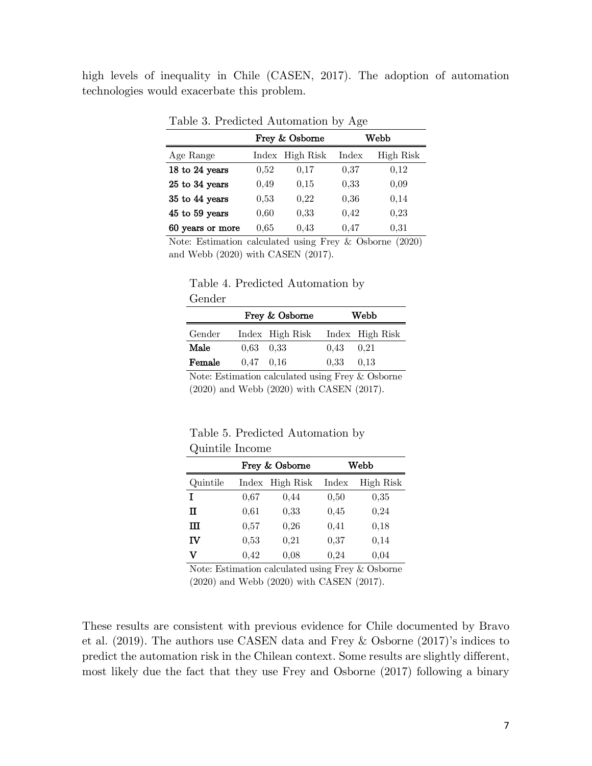high levels of inequality in Chile (CASEN, 2017). The adoption of automation technologies would exacerbate this problem.

|                  |      | Frey & Osborne  | Webb  |           |  |
|------------------|------|-----------------|-------|-----------|--|
| Age Range        |      | Index High Risk | Index | High Risk |  |
| 18 to 24 years   | 0.52 | 0.17            | 0.37  | 0.12      |  |
| 25 to 34 years   | 0.49 | 0.15            | 0.33  | 0,09      |  |
| 35 to 44 years   | 0.53 | 0.22            | 0.36  | 0.14      |  |
| 45 to 59 years   | 0.60 | 0.33            | 0.42  | 0,23      |  |
| 60 years or more | 0.65 | 0.43            | 0.47  | 0.31      |  |

Table 3. Predicted Automation by Age

Note: Estimation calculated using Frey & Osborne (2020) and Webb (2020) with CASEN (2017).

|        | Table 4. Predicted Automation by |  |
|--------|----------------------------------|--|
| Gender |                                  |  |

|        |                   | Frey & Osborne                  | Webb              |   |  |  |
|--------|-------------------|---------------------------------|-------------------|---|--|--|
| Gender |                   | Index High Risk Index High Risk |                   |   |  |  |
| Male   | $0.63 \quad 0.33$ |                                 | $0.43 \quad 0.21$ |   |  |  |
| Female | $0.47$ 0.16       |                                 | $0.33 \t 0.13$    |   |  |  |
|        |                   |                                 |                   | . |  |  |

Note: Estimation calculated using Frey & Osborne (2020) and Webb (2020) with CASEN (2017).

Table 5. Predicted Automation by Quintile Income

|          | Frey & Osborne | Webb      |       |           |
|----------|----------------|-----------|-------|-----------|
| Quintile | Index          | High Risk | Index | High Risk |
| I        | 0,67           | 0.44      | 0,50  | 0,35      |
| п        | 0.61           | 0,33      | 0,45  | 0,24      |
| ш        | 0,57           | 0,26      | 0,41  | 0,18      |
| IV       | 0,53           | 0,21      | 0,37  | 0.14      |
| v        | 0,42           | 0,08      | 0,24  | 0,04      |

Note: Estimation calculated using Frey & Osborne (2020) and Webb (2020) with CASEN (2017).

These results are consistent with previous evidence for Chile documented by Bravo et al. (2019). The authors use CASEN data and Frey & Osborne (2017)'s indices to predict the automation risk in the Chilean context. Some results are slightly different, most likely due the fact that they use Frey and Osborne (2017) following a binary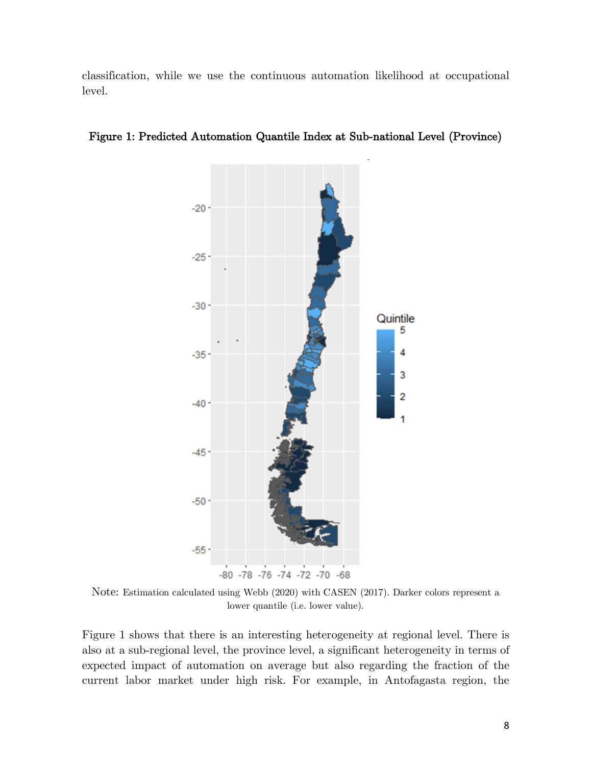classification, while we use the continuous automation likelihood at occupational level.



Figure 1: Predicted Automation Quantile Index at Sub-national Level (Province)

Note: Estimation calculated using Webb (2020) with CASEN (2017). Darker colors represent a lower quantile (i.e. lower value).

Figure 1 shows that there is an interesting heterogeneity at regional level. There is also at a sub-regional level, the province level, a significant heterogeneity in terms of expected impact of automation on average but also regarding the fraction of the current labor market under high risk. For example, in Antofagasta region, the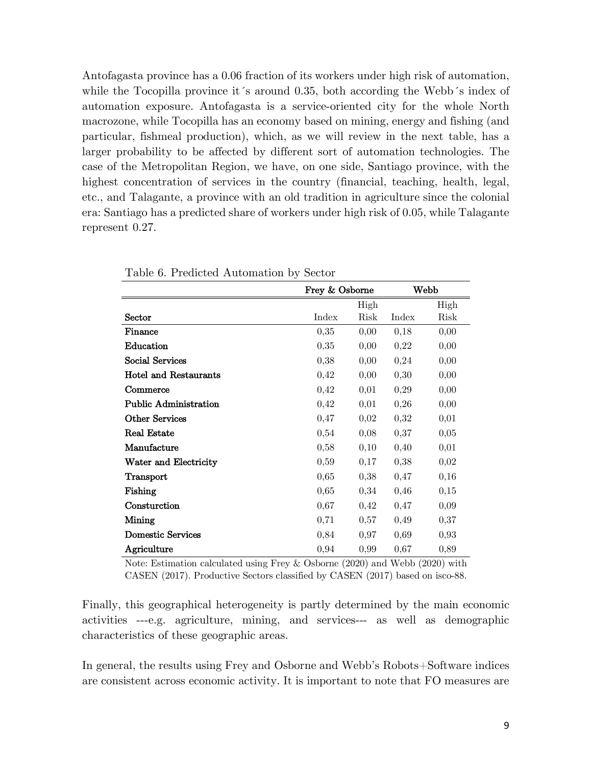Antofagasta province has a 0.06 fraction of its workers under high risk of automation, while the Tocopilla province it's around 0.35, both according the Webb's index of automation exposure. Antofagasta is a service-oriented city for the whole North macrozone, while Tocopilla has an economy based on mining, energy and fishing (and particular, fishmeal production), which, as we will review in the next table, has a larger probability to be affected by different sort of automation technologies. The case of the Metropolitan Region, we have, on one side, Santiago province, with the highest concentration of services in the country (financial, teaching, health, legal, etc., and Talagante, a province with an old tradition in agriculture since the colonial era: Santiago has a predicted share of workers under high risk of 0.05, while Talagante represent 0.27.

|                              | Frey & Osborne |      | Webb  |      |
|------------------------------|----------------|------|-------|------|
|                              |                | High |       | High |
| Sector                       | Index          | Risk | Index | Risk |
| Finance                      | 0,35           | 0,00 | 0,18  | 0,00 |
| Education                    | 0,35           | 0,00 | 0,22  | 0,00 |
| Social Services              | 0,38           | 0,00 | 0,24  | 0,00 |
| <b>Hotel and Restaurants</b> | 0,42           | 0,00 | 0,30  | 0,00 |
| Commerce                     | 0,42           | 0,01 | 0,29  | 0,00 |
| <b>Public Administration</b> | 0,42           | 0,01 | 0,26  | 0,00 |
| <b>Other Services</b>        | 0,47           | 0,02 | 0,32  | 0,01 |
| <b>Real Estate</b>           | 0,54           | 0,08 | 0,37  | 0,05 |
| Manufacture                  | 0,58           | 0,10 | 0,40  | 0,01 |
| Water and Electricity        | 0,59           | 0,17 | 0,38  | 0,02 |
| Transport                    | 0,65           | 0,38 | 0,47  | 0,16 |
| Fishing                      | 0,65           | 0,34 | 0,46  | 0,15 |
| Consturction                 | 0,67           | 0,42 | 0,47  | 0,09 |
| Mining                       | 0,71           | 0,57 | 0,49  | 0,37 |
| Domestic Services            | 0,84           | 0,97 | 0,69  | 0,93 |
| Agriculture                  | 0,94           | 0,99 | 0,67  | 0,89 |

|  |  | Table 6. Predicted Automation by Sector |  |  |
|--|--|-----------------------------------------|--|--|
|--|--|-----------------------------------------|--|--|

Note: Estimation calculated using Frey & Osborne (2020) and Webb (2020) with CASEN (2017). Productive Sectors classified by CASEN (2017) based on isco-88.

Finally, this geographical heterogeneity is partly determined by the main economic activities ---e.g. agriculture, mining, and services--- as well as demographic characteristics of these geographic areas.

In general, the results using Frey and Osborne and Webb's Robots+Software indices are consistent across economic activity. It is important to note that FO measures are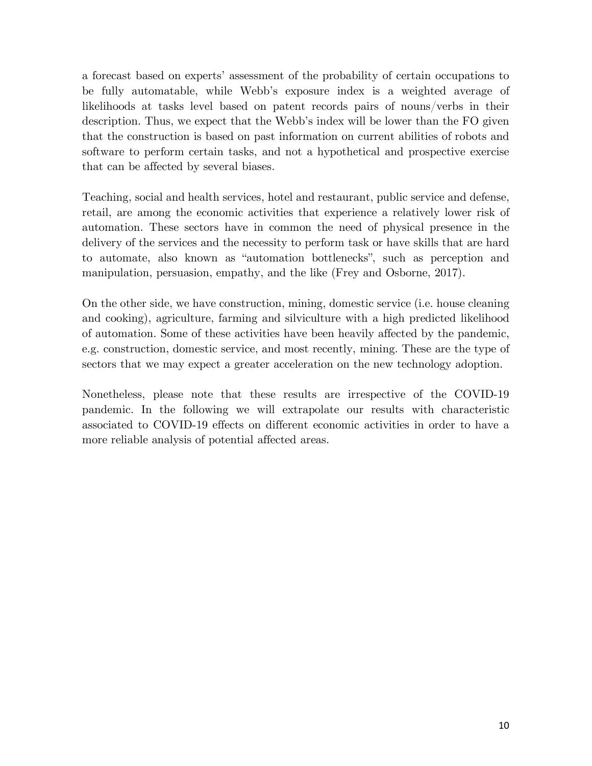a forecast based on experts' assessment of the probability of certain occupations to be fully automatable, while Webb's exposure index is a weighted average of likelihoods at tasks level based on patent records pairs of nouns/verbs in their description. Thus, we expect that the Webb's index will be lower than the FO given that the construction is based on past information on current abilities of robots and software to perform certain tasks, and not a hypothetical and prospective exercise that can be affected by several biases.

Teaching, social and health services, hotel and restaurant, public service and defense, retail, are among the economic activities that experience a relatively lower risk of automation. These sectors have in common the need of physical presence in the delivery of the services and the necessity to perform task or have skills that are hard to automate, also known as "automation bottlenecks", such as perception and manipulation, persuasion, empathy, and the like (Frey and Osborne, 2017).

On the other side, we have construction, mining, domestic service (i.e. house cleaning and cooking), agriculture, farming and silviculture with a high predicted likelihood of automation. Some of these activities have been heavily affected by the pandemic, e.g. construction, domestic service, and most recently, mining. These are the type of sectors that we may expect a greater acceleration on the new technology adoption.

Nonetheless, please note that these results are irrespective of the COVID-19 pandemic. In the following we will extrapolate our results with characteristic associated to COVID-19 effects on different economic activities in order to have a more reliable analysis of potential affected areas.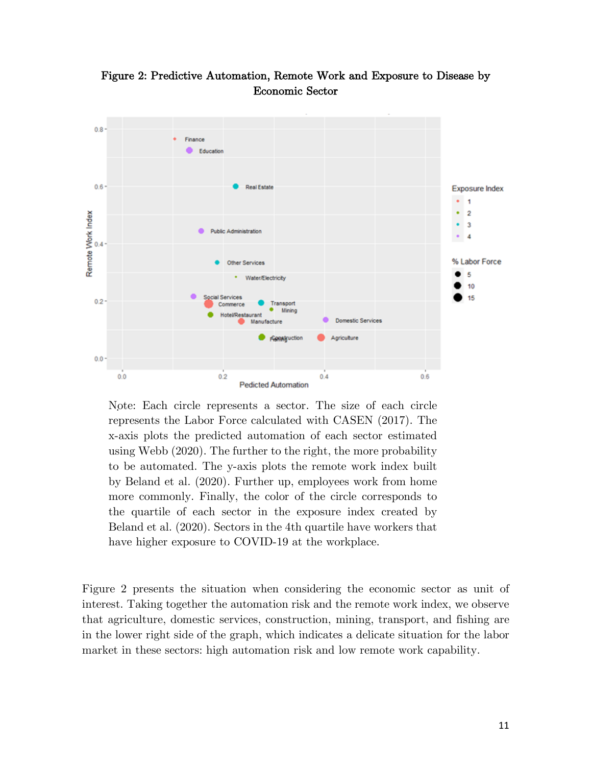

Figure 2: Predictive Automation, Remote Work and Exposure to Disease by Economic Sector

. Note: Each circle represents a sector. The size of each circle represents the Labor Force calculated with CASEN (2017). The x-axis plots the predicted automation of each sector estimated using Webb (2020). The further to the right, the more probability to be automated. The y-axis plots the remote work index built by Beland et al. (2020). Further up, employees work from home more commonly. Finally, the color of the circle corresponds to the quartile of each sector in the exposure index created by Beland et al. (2020). Sectors in the 4th quartile have workers that have higher exposure to COVID-19 at the workplace.

Figure 2 presents the situation when considering the economic sector as unit of interest. Taking together the automation risk and the remote work index, we observe that agriculture, domestic services, construction, mining, transport, and fishing are in the lower right side of the graph, which indicates a delicate situation for the labor market in these sectors: high automation risk and low remote work capability.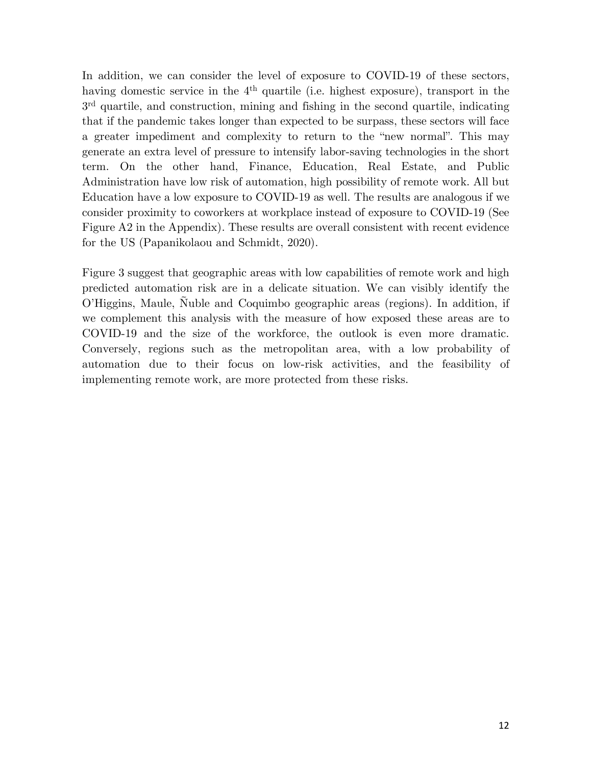In addition, we can consider the level of exposure to COVID-19 of these sectors, having domestic service in the 4<sup>th</sup> quartile (i.e. highest exposure), transport in the 3rd quartile, and construction, mining and fishing in the second quartile, indicating that if the pandemic takes longer than expected to be surpass, these sectors will face a greater impediment and complexity to return to the "new normal". This may generate an extra level of pressure to intensify labor-saving technologies in the short term. On the other hand, Finance, Education, Real Estate, and Public Administration have low risk of automation, high possibility of remote work. All but Education have a low exposure to COVID-19 as well. The results are analogous if we consider proximity to coworkers at workplace instead of exposure to COVID-19 (See Figure A2 in the Appendix). These results are overall consistent with recent evidence for the US (Papanikolaou and Schmidt, 2020).

Figure 3 suggest that geographic areas with low capabilities of remote work and high predicted automation risk are in a delicate situation. We can visibly identify the O'Higgins, Maule, Ñuble and Coquimbo geographic areas (regions). In addition, if we complement this analysis with the measure of how exposed these areas are to COVID-19 and the size of the workforce, the outlook is even more dramatic. Conversely, regions such as the metropolitan area, with a low probability of automation due to their focus on low-risk activities, and the feasibility of implementing remote work, are more protected from these risks.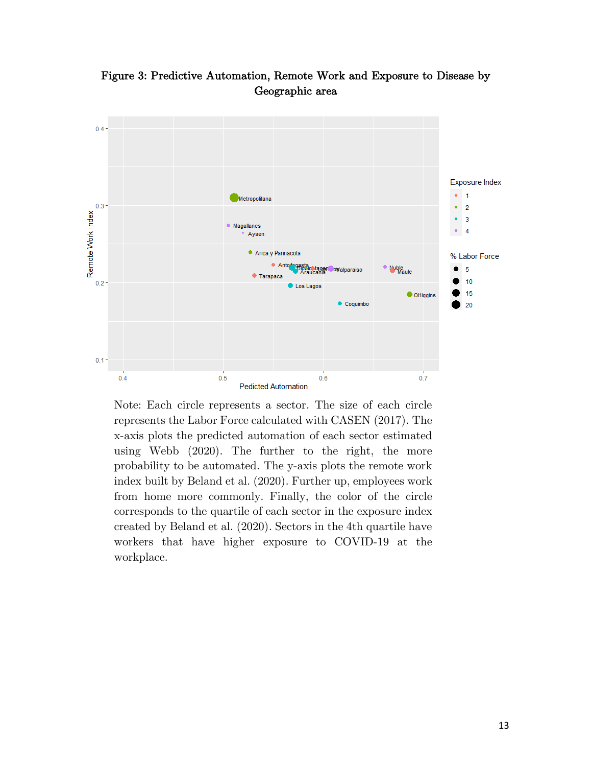

Figure 3: Predictive Automation, Remote Work and Exposure to Disease by Geographic area

Note: Each circle represents a sector. The size of each circle represents the Labor Force calculated with CASEN (2017). The x-axis plots the predicted automation of each sector estimated using Webb (2020). The further to the right, the more probability to be automated. The y-axis plots the remote work index built by Beland et al. (2020). Further up, employees work from home more commonly. Finally, the color of the circle corresponds to the quartile of each sector in the exposure index created by Beland et al. (2020). Sectors in the 4th quartile have workers that have higher exposure to COVID-19 at the workplace.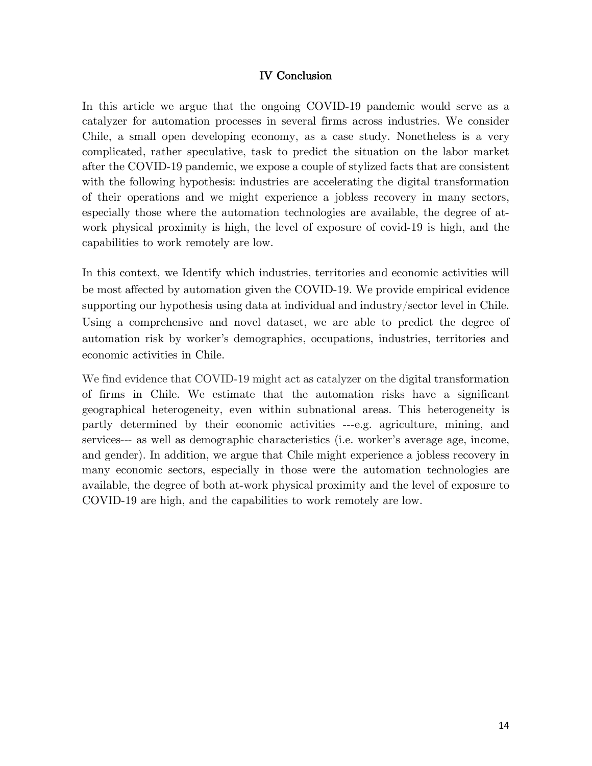#### IV Conclusion

In this article we argue that the ongoing COVID-19 pandemic would serve as a catalyzer for automation processes in several firms across industries. We consider Chile, a small open developing economy, as a case study. Nonetheless is a very complicated, rather speculative, task to predict the situation on the labor market after the COVID-19 pandemic, we expose a couple of stylized facts that are consistent with the following hypothesis: industries are accelerating the digital transformation of their operations and we might experience a jobless recovery in many sectors, especially those where the automation technologies are available, the degree of atwork physical proximity is high, the level of exposure of covid-19 is high, and the capabilities to work remotely are low.

In this context, we Identify which industries, territories and economic activities will be most affected by automation given the COVID-19. We provide empirical evidence supporting our hypothesis using data at individual and industry/sector level in Chile. Using a comprehensive and novel dataset, we are able to predict the degree of automation risk by worker's demographics, occupations, industries, territories and economic activities in Chile.

We find evidence that COVID-19 might act as catalyzer on the digital transformation of firms in Chile. We estimate that the automation risks have a significant geographical heterogeneity, even within subnational areas. This heterogeneity is partly determined by their economic activities ---e.g. agriculture, mining, and services--- as well as demographic characteristics (i.e. worker's average age, income, and gender). In addition, we argue that Chile might experience a jobless recovery in many economic sectors, especially in those were the automation technologies are available, the degree of both at-work physical proximity and the level of exposure to COVID-19 are high, and the capabilities to work remotely are low.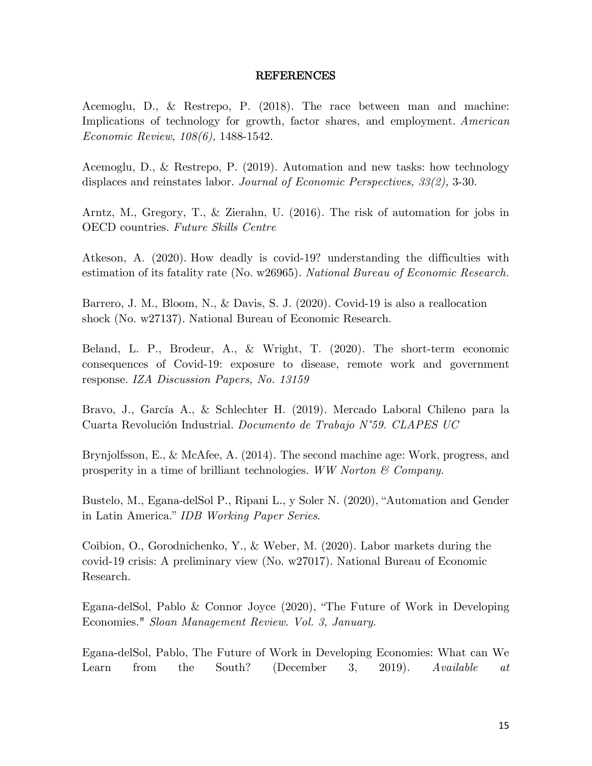#### REFERENCES

Acemoglu, D., & Restrepo, P. (2018). The race between man and machine: Implications of technology for growth, factor shares, and employment. *American Economic Review*, *108(6),* 1488-1542.

Acemoglu, D., & Restrepo, P. (2019). Automation and new tasks: how technology displaces and reinstates labor. *Journal of Economic Perspectives, 33(2),* 3-30.

Arntz, M., Gregory, T., & Zierahn, U. (2016). The risk of automation for jobs in OECD countries. *Future Skills Centre*

Atkeson, A. (2020). How deadly is covid-19? understanding the difficulties with estimation of its fatality rate (No. w26965). *National Bureau of Economic Research.*

Barrero, J. M., Bloom, N., & Davis, S. J. (2020). Covid-19 is also a reallocation shock (No. w27137). National Bureau of Economic Research.

Beland, L. P., Brodeur, A., & Wright, T. (2020). The short-term economic consequences of Covid-19: exposure to disease, remote work and government response. *IZA Discussion Papers, No. 13159*

Bravo, J., García A., & Schlechter H. (2019). Mercado Laboral Chileno para la Cuarta Revolución Industrial. *Documento de Trabajo N°59. CLAPES UC*

Brynjolfsson, E., & McAfee, A. (2014). The second machine age: Work, progress, and prosperity in a time of brilliant technologies. *WW Norton & Company.*

Bustelo, M., Egana-delSol P., Ripani L., y Soler N. (2020), "Automation and Gender in Latin America." *IDB Working Paper Series.*

Coibion, O., Gorodnichenko, Y., & Weber, M. (2020). Labor markets during the covid-19 crisis: A preliminary view (No. w27017). National Bureau of Economic Research.

Egana-delSol, Pablo & Connor Joyce (2020), "The Future of Work in Developing Economies." *Sloan Management Review. Vol. 3, January.*

Egana-delSol, Pablo, The Future of Work in Developing Economies: What can We Learn from the South? (December 3, 2019). *Available at*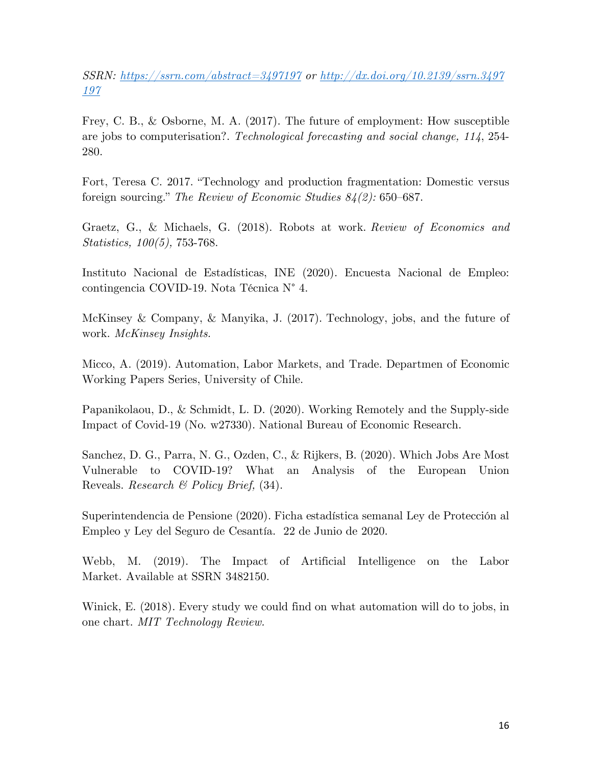*SSRN: https://ssrn.com/abstract=3497197 or http://dx.doi.org/10.2139/ssrn.3497 197*

Frey, C. B., & Osborne, M. A. (2017). The future of employment: How susceptible are jobs to computerisation?. *Technological forecasting and social change, 114*, 254- 280.

Fort, Teresa C. 2017. "Technology and production fragmentation: Domestic versus foreign sourcing." *The Review of Economic Studies 84(2):* 650–687.

Graetz, G., & Michaels, G. (2018). Robots at work. *Review of Economics and Statistics, 100(5),* 753-768.

Instituto Nacional de Estadísticas, INE (2020). Encuesta Nacional de Empleo: contingencia COVID-19. Nota Técnica N° 4.

McKinsey & Company, & Manyika, J. (2017). Technology, jobs, and the future of work. *McKinsey Insights.*

Micco, A. (2019). Automation, Labor Markets, and Trade. Departmen of Economic Working Papers Series, University of Chile.

Papanikolaou, D., & Schmidt, L. D. (2020). Working Remotely and the Supply-side Impact of Covid-19 (No. w27330). National Bureau of Economic Research.

Sanchez, D. G., Parra, N. G., Ozden, C., & Rijkers, B. (2020). Which Jobs Are Most Vulnerable to COVID-19? What an Analysis of the European Union Reveals. *Research & Policy Brief,* (34).

Superintendencia de Pensione (2020). Ficha estadística semanal Ley de Protección al Empleo y Ley del Seguro de Cesantía. 22 de Junio de 2020.

Webb, M. (2019). The Impact of Artificial Intelligence on the Labor Market. Available at SSRN 3482150.

Winick, E. (2018). Every study we could find on what automation will do to jobs, in one chart. *MIT Technology Review.*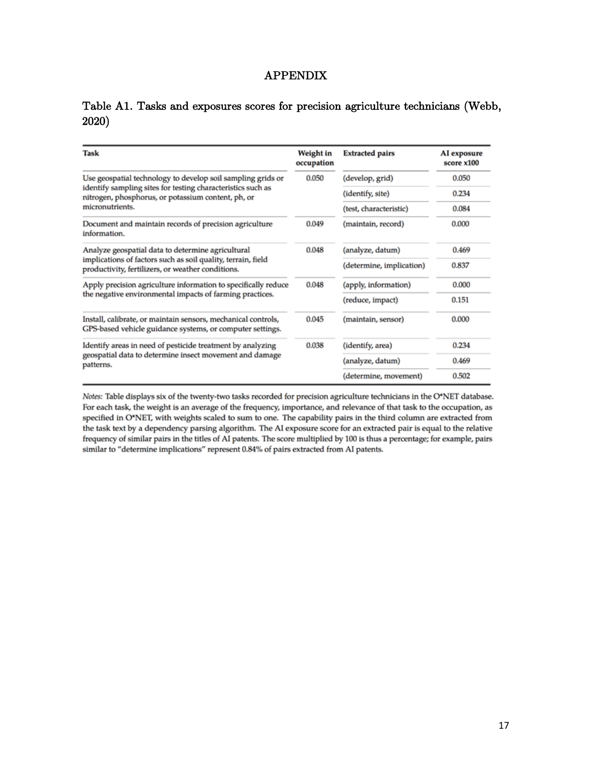### APPENDIX

## Table A1. Tasks and exposures scores for precision agriculture technicians (Webb, 2020)

| Task                                                                                                                       | Weight in<br>occupation | <b>Extracted pairs</b>   | AI exposure<br>score x100 |
|----------------------------------------------------------------------------------------------------------------------------|-------------------------|--------------------------|---------------------------|
| Use geospatial technology to develop soil sampling grids or                                                                | 0.050                   | (develop, grid)          | 0.050                     |
| identify sampling sites for testing characteristics such as<br>nitrogen, phosphorus, or potassium content, ph, or          |                         | (identify, site)         | 0.234                     |
| micronutrients.                                                                                                            |                         | (test, characteristic)   | 0.084                     |
| Document and maintain records of precision agriculture<br>information.                                                     | 0.049                   | (maintain, record)       | 0.000                     |
| Analyze geospatial data to determine agricultural                                                                          | 0.048                   | (analyze, datum)         | 0.469                     |
| implications of factors such as soil quality, terrain, field<br>productivity, fertilizers, or weather conditions.          |                         | (determine, implication) | 0.837                     |
| Apply precision agriculture information to specifically reduce                                                             | 0.048                   | (apply, information)     | 0.000                     |
| the negative environmental impacts of farming practices.                                                                   |                         | (reduce, impact)         | 0.151                     |
| Install, calibrate, or maintain sensors, mechanical controls,<br>GPS-based vehicle guidance systems, or computer settings. | 0.045                   | (maintain, sensor)       | 0.000                     |
| Identify areas in need of pesticide treatment by analyzing                                                                 | 0.038                   | (identify, area)         | 0.234                     |
| geospatial data to determine insect movement and damage<br>patterns.                                                       |                         | (analyze, datum)         | 0.469                     |
|                                                                                                                            |                         | (determine, movement)    | 0.502                     |

Notes: Table displays six of the twenty-two tasks recorded for precision agriculture technicians in the O\*NET database. For each task, the weight is an average of the frequency, importance, and relevance of that task to the occupation, as specified in O\*NET, with weights scaled to sum to one. The capability pairs in the third column are extracted from the task text by a dependency parsing algorithm. The AI exposure score for an extracted pair is equal to the relative frequency of similar pairs in the titles of AI patents. The score multiplied by 100 is thus a percentage; for example, pairs similar to "determine implications" represent 0.84% of pairs extracted from AI patents.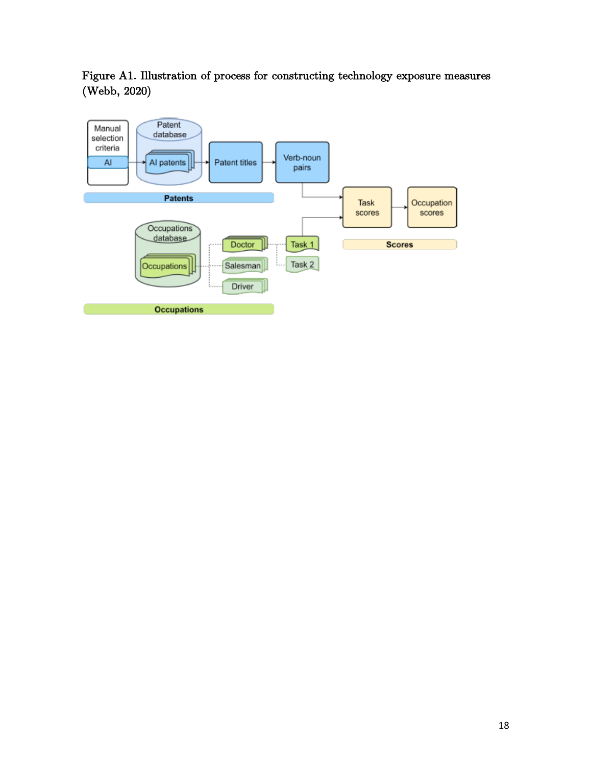Figure A1. Illustration of process for constructing technology exposure measures (Webb, 2020)

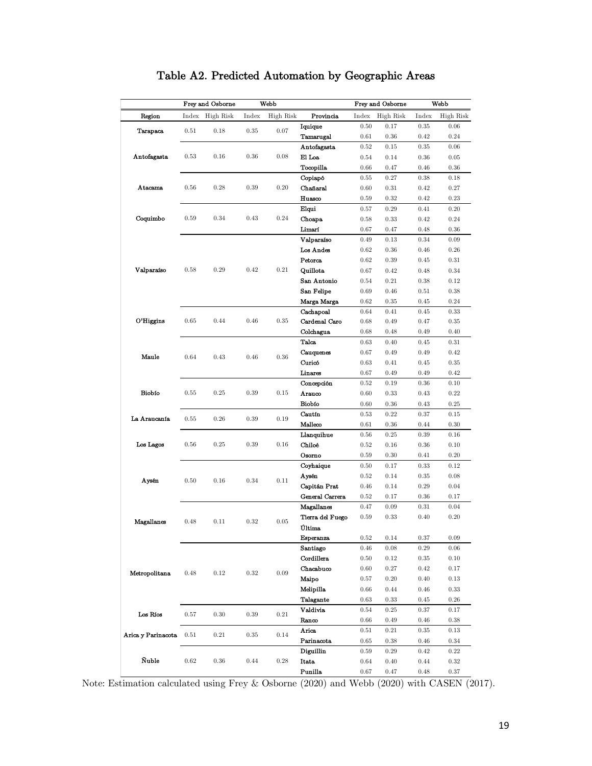|                    |           | Frey and Osborne |       | Webb      |                       |              | Frey and Osborne |              | Webb         |
|--------------------|-----------|------------------|-------|-----------|-----------------------|--------------|------------------|--------------|--------------|
| Region             | Index     | High Risk        | Index | High Risk | Provincia             | Index        | High Risk        | Index        | High Risk    |
|                    |           |                  |       |           | Iquique               | $0.50\,$     | 0.17             | 0.35         | 0.06         |
| <b>Tarapaca</b>    | 0.51      | 0.18             | 0.35  | 0.07      | Tamarugal             | 0.61         | 0.36             | 0.42         | 0.24         |
|                    |           |                  |       |           | Antofagasta           | $\rm 0.52$   | 0.15             | 0.35         | 0.06         |
| Antofagasta        | 0.53      | 0.16             | 0.36  | 0.08      | El Loa                | 0.54         | 0.14             | 0.36         | 0.05         |
|                    |           |                  |       |           | Tocopilla             | 0.66         | 0.47             | 0.46         | 0.36         |
|                    |           |                  |       |           | Copiapó               | $0.55\,$     | 0.27             | $0.38\,$     | 0.18         |
| Atacama            | 0.56      | 0.28             | 0.39  | 0.20      | Chañaral              | 0.60         | 0.31             | 0.42         | 0.27         |
|                    |           |                  |       |           | Huasco                | 0.59         | 0.32             | 0.42         | 0.23         |
|                    |           |                  |       |           | Elqui                 | 0.57         | 0.29             | 0.41         | 0.20         |
| Coquimbo           | 0.59      | 0.34             | 0.43  | 0.24      | Choapa                | 0.58         | 0.33             | 0.42         | $0.24\,$     |
|                    |           |                  |       |           | Limarí                | 0.67         | 0.47             | 0.48         | 0.36         |
|                    |           |                  |       |           | Valparaiso            | 0.49         | 0.13             | 0.34         | 0.09         |
|                    |           |                  |       |           | Los Andes             | 0.62         | 0.36             | 0.46         | 0.26         |
|                    |           |                  |       |           | Petorca               | 0.62         | 0.39             | 0.45         | 0.31         |
| Valparaíso         | 0.58      | 0.29             | 0.42  | 0.21      | Quillota              | 0.67         | 0.42             | 0.48         | 0.34         |
|                    |           |                  |       |           | San Antonio           | 0.54         | 0.21             | 0.38         | 0.12         |
|                    |           |                  |       |           | San Felipe            | 0.69         | 0.46             | 0.51         | 0.38         |
|                    |           |                  |       |           | Marga Marga           | 0.62         | 0.35             | 0.45         | 0.24         |
|                    |           |                  |       |           | Cachapoal             | 0.64         | 0.41             | 0.45         | 0.33         |
| O'Higgins          | 0.65      | 0.44             | 0.46  | 0.35      | Cardenal Caro         | 0.68         | 0.49             | 0.47         | 0.35         |
|                    |           |                  |       |           | Colchagua             | 0.68         | 0.48             | 0.49         | 0.40         |
|                    |           |                  |       |           | Talca                 | 0.63         | 0.40             | 0.45         | 0.31         |
| Maule              | 0.64      | 0.43             | 0.46  | 0.36      | Cauquenes             | 0.67         | 0.49             | 0.49         | 0.42         |
|                    |           |                  |       |           | Curico                | 0.63         | 0.41             | 0.45         | 0.35         |
|                    |           |                  |       |           | Linares               | 0.67         | 0.49             | 0.49         | 0.42         |
|                    |           |                  |       |           | Concepción            | 0.52         | 0.19             | 0.36         | 0.10         |
| Biobío             | 0.55      | 0.25             | 0.39  | 0.15      | Arauco                | 0.60         | 0.33             | 0.43         | 0.22         |
|                    |           |                  |       |           | Biobío                | 0.60         | 0.36             | 0.43         | 0.25         |
| La Araucanía       | 0.55      | 0.26             | 0.39  | 0.19      | Cautín                | 0.53         | 0.22             | 0.37         | 0.15         |
|                    |           |                  |       |           | Malleco               | 0.61         | 0.36             | 0.44         | 0.30         |
|                    | 0.56      | 0.25             | 0.39  | 0.16      | Llanquihue            | 0.56         | 0.25             | 0.39         | 0.16         |
| Los Lagos          |           |                  |       |           | Chiloé                | 0.52         | 0.16             | 0.36         | 0.10         |
|                    |           |                  |       |           | Osorno<br>Coyhaique   | 0.59         | 0.30<br>0.17     | 0.41         | 0.20         |
|                    |           |                  |       |           |                       | 0.50<br>0.52 | 0.14             | 0.33<br>0.35 | 0.12<br>0.08 |
| Aysén              | 0.50      | 0.16             | 0.34  | 0.11      | Aysén<br>Capitán Prat | 0.46         | 0.14             | 0.29         | 0.04         |
|                    |           |                  |       |           | General Carrera       | 0.52         | 0.17             | 0.36         | 0.17         |
|                    |           |                  |       |           | Magallanes            | 0.47         | 0.09             | 0.31         | 0.04         |
|                    |           |                  |       |           | Tierra del Fuego      | 0.59         | 0.33             | 0.40         | 0.20         |
| Magallanes         | 0.48      | 0.11             | 0.32  | 0.05      | Última                |              |                  |              |              |
|                    |           |                  |       |           | Esperanza             | 0.52         | 0.14             | 0.37         | 0.09         |
|                    |           |                  |       |           | Santiago              | 0.46         | 0.08             | 0.29         | 0.06         |
|                    |           |                  |       |           | Cordillera            | 0.50         | 0.12             | 0.35         | 0.10         |
|                    |           |                  |       |           | Chacabuco             | 0.60         | 0.27             | 0.42         | 0.17         |
| Metropolitana      | 0.48      | 0.12             | 0.32  | 0.09      | Maipo                 | $0.57\,$     | 0.20             | 0.40         | $0.13\,$     |
|                    |           |                  |       |           | Melipilla             | 0.66         | 0.44             | 0.46         | 0.33         |
|                    |           |                  |       |           | Talagante             | 0.63         | 0.33             | 0.45         | 0.26         |
|                    |           |                  |       |           | Valdivia              | 0.54         | 0.25             | 0.37         | 0.17         |
| Los Ríos           | $_{0.57}$ | 0.30             | 0.39  | 0.21      | Ranco                 | $0.66\,$     | 0.49             | 0.46         | 0.38         |
|                    |           |                  |       |           | Arica                 | 0.51         | 0.21             | 0.35         | 0.13         |
| Arica y Parinacota | 0.51      | 0.21             | 0.35  | 0.14      | Parinacota            | 0.65         | 0.38             | 0.46         | 0.34         |
|                    |           |                  |       |           | Diguillin             | $\!0.59\,$   | 0.29             | 0.42         | 0.22         |
| <b>Nuble</b>       | 0.62      | 0.36             | 0.44  | $0.28\,$  | <b>Itata</b>          | 0.64         | 0.40             | 0.44         | 0.32         |
|                    |           |                  |       |           | Punilla               | 0.67         | 0.47             | 0.48         | 0.37         |

## Table A2. Predicted Automation by Geographic Areas

Punilla  $0.67 \t 0.47 \t 0.48 \t 0.37$ <br>Note: Estimation calculated using Frey & Osborne (2020) and Webb (2020) with CASEN (2017).